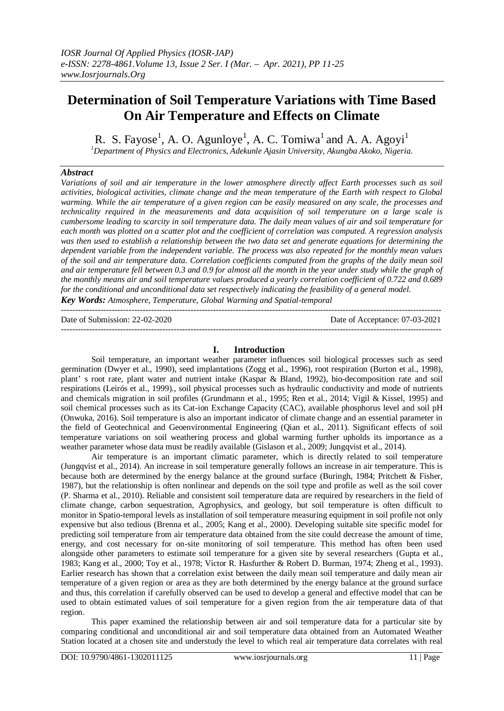---------------------------------------------------------------------------------------------------------------------------------------

# **Determination of Soil Temperature Variations with Time Based On Air Temperature and Effects on Climate**

R. S. Fayose<sup>1</sup>, A. O. Agunloye<sup>1</sup>, A. C. Tomiwa<sup>1</sup> and A. A. Agoyi<sup>1</sup> *<sup>1</sup>Department of Physics and Electronics, Adekunle Ajasin University, Akungba Akoko, Nigeria.*

### *Abstract*

*Variations of soil and air temperature in the lower atmosphere directly affect Earth processes such as soil activities, biological activities, climate change and the mean temperature of the Earth with respect to Global warming. While the air temperature of a given region can be easily measured on any scale, the processes and technicality required in the measurements and data acquisition of soil temperature on a large scale is cumbersome leading to scarcity in soil temperature data. The daily mean values of air and soil temperature for each month was plotted on a scatter plot and the coefficient of correlation was computed. A regression analysis was then used to establish a relationship between the two data set and generate equations for determining the dependent variable from the independent variable. The process was also repeated for the monthly mean values of the soil and air temperature data. Correlation coefficients computed from the graphs of the daily mean soil and air temperature fell between 0.3 and 0.9 for almost all the month in the year under study while the graph of the monthly means air and soil temperature values produced a yearly correlation coefficient of 0.722 and 0.689 for the conditional and unconditional data set respectively indicating the feasibility of a general model. Key Words: Atmosphere, Temperature, Global Warming and Spatial-temporal*

Date of Submission: 22-02-2020 Date of Acceptance: 07-03-2021

#### **I. Introduction**

---------------------------------------------------------------------------------------------------------------------------------------

Soil temperature, an important weather parameter influences soil biological processes such as seed germination (Dwyer et al., 1990), seed implantations (Zogg et al., 1996), root respiration (Burton et al., 1998), plant' s root rate, plant water and nutrient intake (Kaspar & Bland, 1992), bio-decomposition rate and soil respirations (Leirós et al., 1999)., soil physical processes such as hydraulic conductivity and mode of nutrients and chemicals migration in soil profiles (Grundmann et al., 1995; Ren et al., 2014; Vigil & Kissel, 1995) and soil chemical processes such as its Cat-ion Exchange Capacity (CAC), available phosphorus level and soil pH (Onwuka, 2016). Soil temperature is also an important indicator of climate change and an essential parameter in the field of Geotechnical and Geoenvironmental Engineering (Qian et al., 2011). Significant effects of soil temperature variations on soil weathering process and global warming further upholds its importance as a weather parameter whose data must be readily available (Gislason et al., 2009; Jungqvist et al., 2014).

Air temperature is an important climatic parameter, which is directly related to soil temperature (Jungqvist et al., 2014). An increase in soil temperature generally follows an increase in air temperature. This is because both are determined by the energy balance at the ground surface (Buringh, 1984; Pritchett & Fisher, 1987), but the relationship is often nonlinear and depends on the soil type and profile as well as the soil cover (P. Sharma et al., 2010). Reliable and consistent soil temperature data are required by researchers in the field of climate change, carbon sequestration, Agrophysics, and geology, but soil temperature is often difficult to monitor in Spatio-temporal levels as installation of soil temperature measuring equipment in soil profile not only expensive but also tedious (Brenna et al., 2005; Kang et al., 2000). Developing suitable site specific model for predicting soil temperature from air temperature data obtained from the site could decrease the amount of time, energy, and cost necessary for on-site monitoring of soil temperature. This method has often been used alongside other parameters to estimate soil temperature for a given site by several researchers (Gupta et al., 1983; Kang et al., 2000; Toy et al., 1978; Victor R. Hasfurther & Robert D. Burman, 1974; Zheng et al., 1993). Earlier research has shown that a correlation exist between the daily mean soil temperature and daily mean air temperature of a given region or area as they are both determined by the energy balance at the ground surface and thus, this correlation if carefully observed can be used to develop a general and effective model that can be used to obtain estimated values of soil temperature for a given region from the air temperature data of that region.

This paper examined the relationship between air and soil temperature data for a particular site by comparing conditional and unconditional air and soil temperature data obtained from an Automated Weather Station located at a chosen site and understudy the level to which real air temperature data correlates with real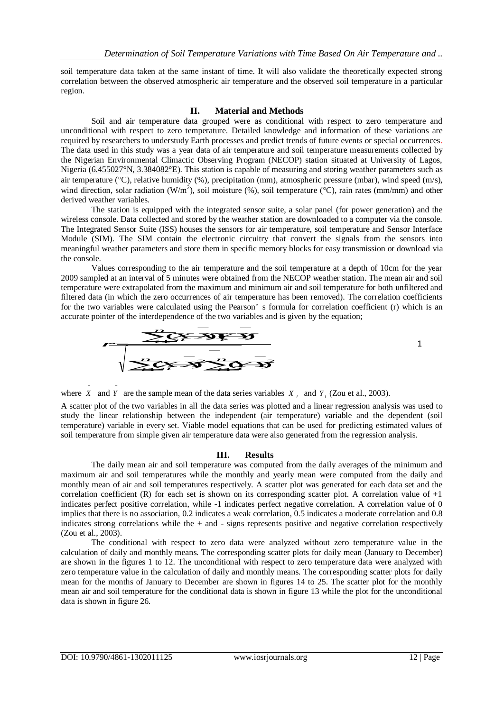soil temperature data taken at the same instant of time. It will also validate the theoretically expected strong correlation between the observed atmospheric air temperature and the observed soil temperature in a particular region.

## **II. Material and Methods**

Soil and air temperature data grouped were as conditional with respect to zero temperature and unconditional with respect to zero temperature. Detailed knowledge and information of these variations are required by researchers to understudy Earth processes and predict trends of future events or special occurrences. The data used in this study was a year data of air temperature and soil temperature measurements collected by the Nigerian Environmental Climactic Observing Program (NECOP) station situated at University of Lagos, Nigeria (6.455027°N, 3.384082°E). This station is capable of measuring and storing weather parameters such as air temperature ( $\degree$ C), relative humidity (%), precipitation (mm), atmospheric pressure (mbar), wind speed (m/s), wind direction, solar radiation (W/m<sup>2</sup>), soil moisture (%), soil temperature (°C), rain rates (mm/mm) and other derived weather variables.

The station is equipped with the integrated sensor suite, a solar panel (for power generation) and the wireless console. Data collected and stored by the weather station are downloaded to a computer via the console. The Integrated Sensor Suite (ISS) houses the sensors for air temperature, soil temperature and Sensor Interface Module (SIM). The SIM contain the electronic circuitry that convert the signals from the sensors into meaningful weather parameters and store them in specific memory blocks for easy transmission or download via the console.

Values corresponding to the air temperature and the soil temperature at a depth of 10cm for the year 2009 sampled at an interval of 5 minutes were obtained from the NECOP weather station. The mean air and soil temperature were extrapolated from the maximum and minimum air and soil temperature for both unfiltered and filtered data (in which the zero occurrences of air temperature has been removed). The correlation coefficients for the two variables were calculated using the Pearson' s formula for correlation coefficient (r) which is an Filtered data (in which the zero occurrences of air temperature has been removed). The<br>for the two variables were calculated using the Pearson's formula for correlation coe<br>accurate pointer of the interdependence of the tw



where *X* and *Y* are the sample mean of the data series variables  $X_i$  and  $Y_i$  (Zou et al., 2003). A scatter plot of the two variables in all the data series was plotted and a linear regression analysis was used to study the linear relationship between the independent (air temperature) variable and the dependent (soil temperature) variable in every set. Viable model equations that can be used for predicting estimated values of

#### **III. Results**

soil temperature from simple given air temperature data were also generated from the regression analysis.

The daily mean air and soil temperature was computed from the daily averages of the minimum and maximum air and soil temperatures while the monthly and yearly mean were computed from the daily and monthly mean of air and soil temperatures respectively. A scatter plot was generated for each data set and the correlation coefficient (R) for each set is shown on its corresponding scatter plot. A correlation value of  $+1$ indicates perfect positive correlation, while -1 indicates perfect negative correlation. A correlation value of 0 implies that there is no association, 0.2 indicates a weak correlation, 0.5 indicates a moderate correlation and 0.8 indicates strong correlations while the + and - signs represents positive and negative correlation respectively (Zou et al., 2003).

The conditional with respect to zero data were analyzed without zero temperature value in the calculation of daily and monthly means. The corresponding scatter plots for daily mean (January to December) are shown in the figures 1 to 12. The unconditional with respect to zero temperature data were analyzed with zero temperature value in the calculation of daily and monthly means. The corresponding scatter plots for daily mean for the months of January to December are shown in figures 14 to 25. The scatter plot for the monthly mean air and soil temperature for the conditional data is shown in figure 13 while the plot for the unconditional data is shown in figure 26.

 $\overline{a}$ 

 $\overline{a}$ 

1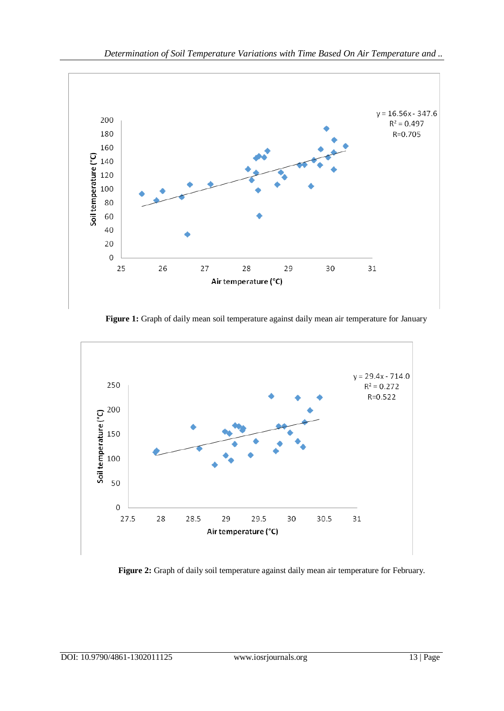

Figure 1: Graph of daily mean soil temperature against daily mean air temperature for January



**Figure 2:** Graph of daily soil temperature against daily mean air temperature for February.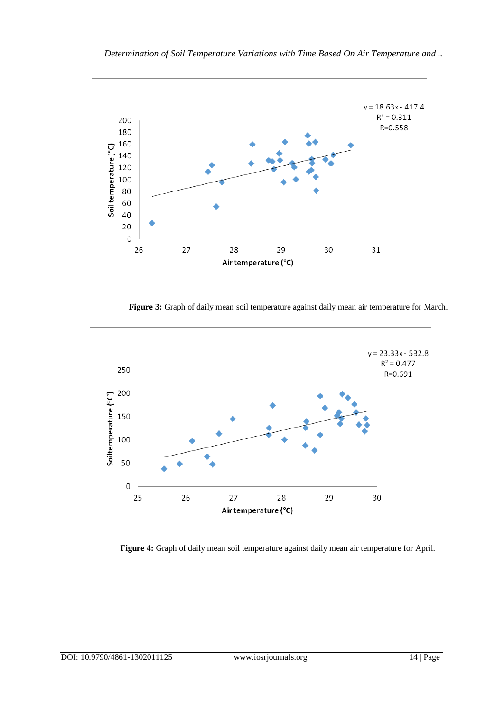

**Figure 3:** Graph of daily mean soil temperature against daily mean air temperature for March.



**Figure 4:** Graph of daily mean soil temperature against daily mean air temperature for April.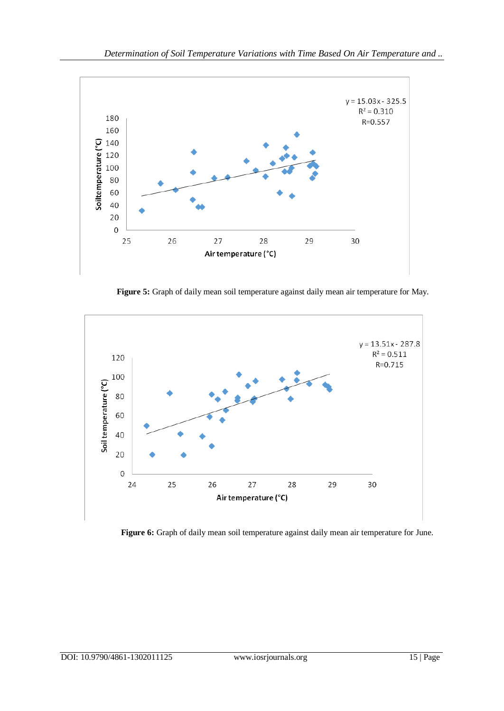

**Figure 5:** Graph of daily mean soil temperature against daily mean air temperature for May.



**Figure 6:** Graph of daily mean soil temperature against daily mean air temperature for June.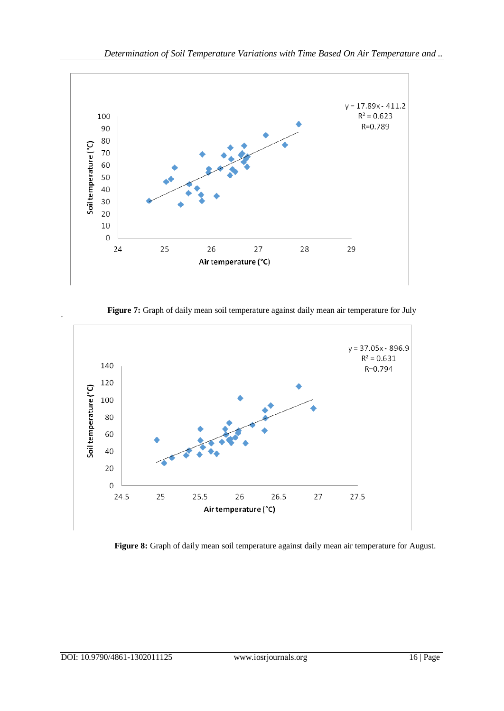

Figure 7: Graph of daily mean soil temperature against daily mean air temperature for July



**Figure 8:** Graph of daily mean soil temperature against daily mean air temperature for August.

.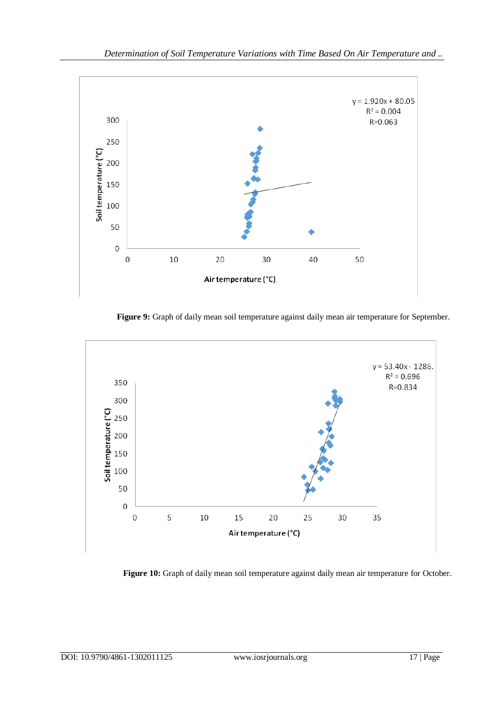

**Figure 9:** Graph of daily mean soil temperature against daily mean air temperature for September.



**Figure 10:** Graph of daily mean soil temperature against daily mean air temperature for October.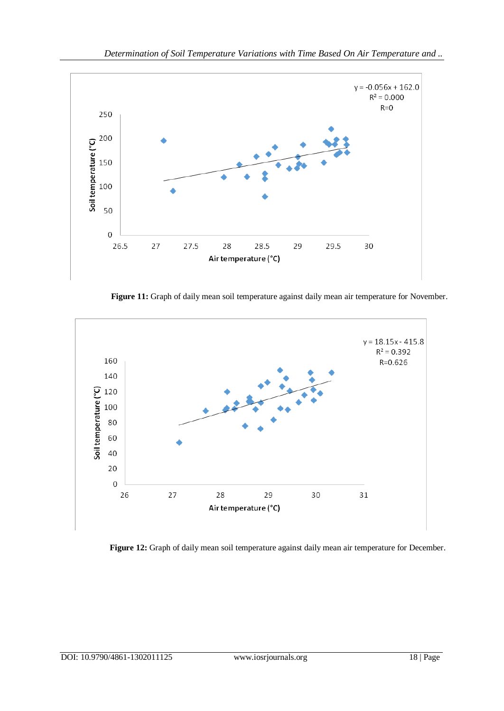

**Figure 11:** Graph of daily mean soil temperature against daily mean air temperature for November.



**Figure 12:** Graph of daily mean soil temperature against daily mean air temperature for December.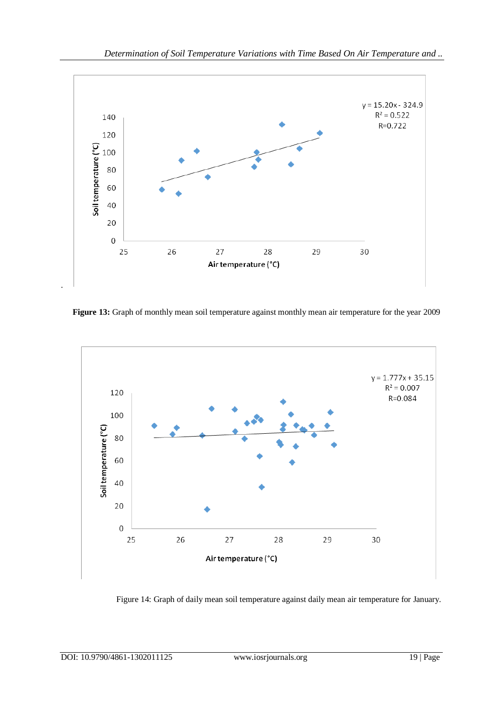

**Figure 13:** Graph of monthly mean soil temperature against monthly mean air temperature for the year 2009



Figure 14: Graph of daily mean soil temperature against daily mean air temperature for January.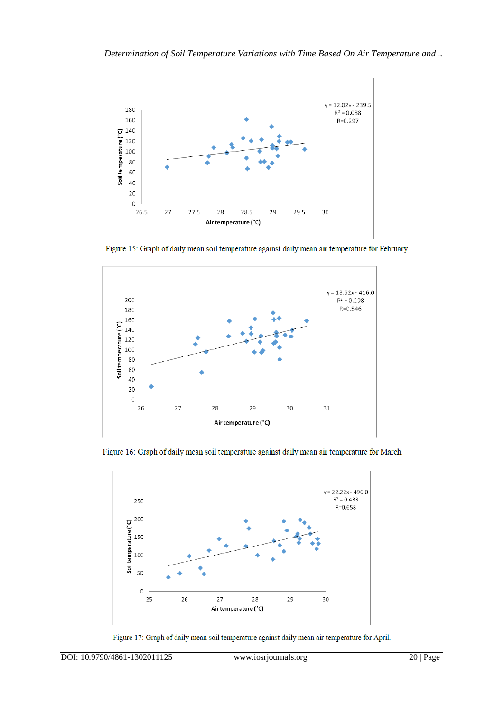

Figure 15: Graph of daily mean soil temperature against daily mean air temperature for February



Figure 16: Graph of daily mean soil temperature against daily mean air temperature for March.



Figure 17: Graph of daily mean soil temperature against daily mean air temperature for April.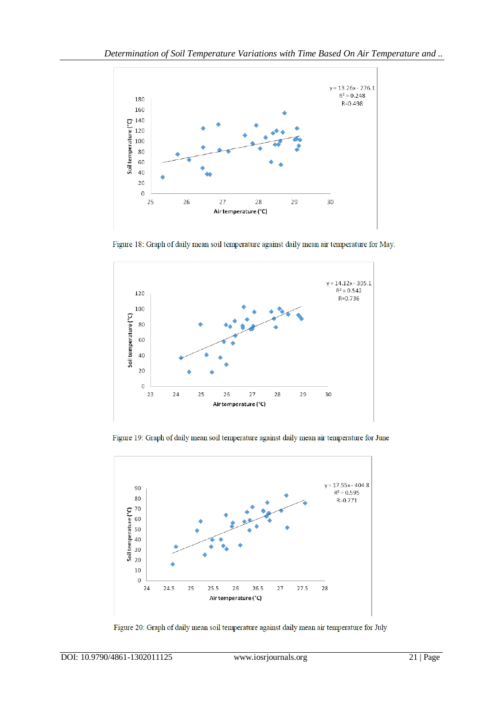

Figure 18: Graph of daily mean soil temperature against daily mean air temperature for May.



Figure 19: Graph of daily mean soil temperature against daily mean air temperature for June



Figure 20: Graph of daily mean soil temperature against daily mean air temperature for July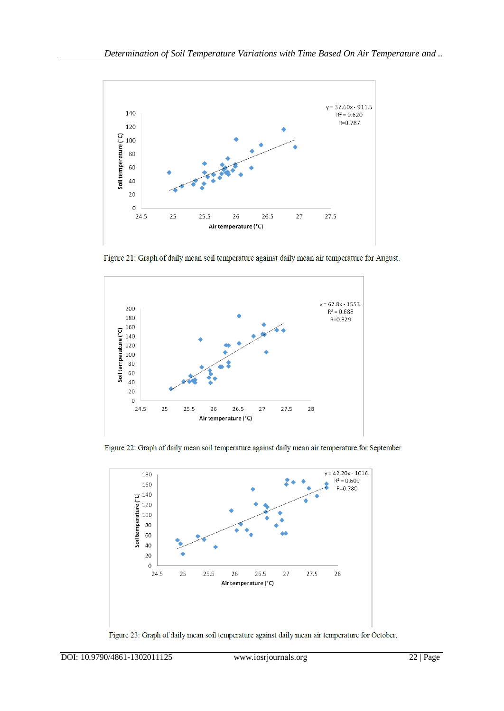

Figure 21: Graph of daily mean soil temperature against daily mean air temperature for August.



Figure 22: Graph of daily mean soil temperature against daily mean air temperature for September



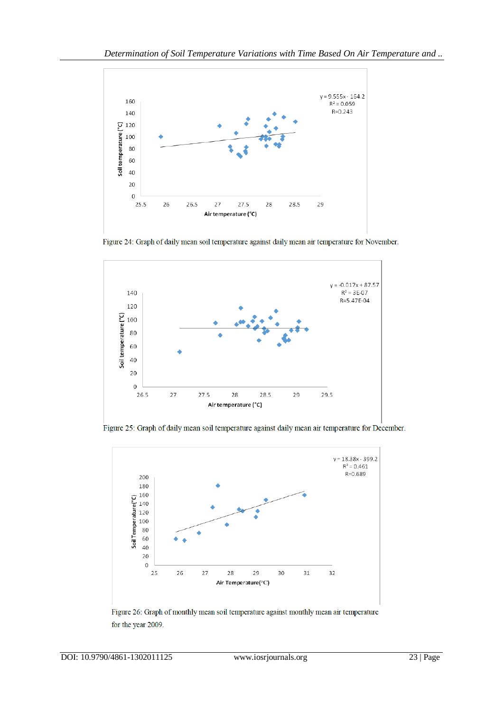

Figure 24: Graph of daily mean soil temperature against daily mean air temperature for November.



Figure 25: Graph of daily mean soil temperature against daily mean air temperature for December.



Figure 26: Graph of monthly mean soil temperature against monthly mean air temperature for the year 2009.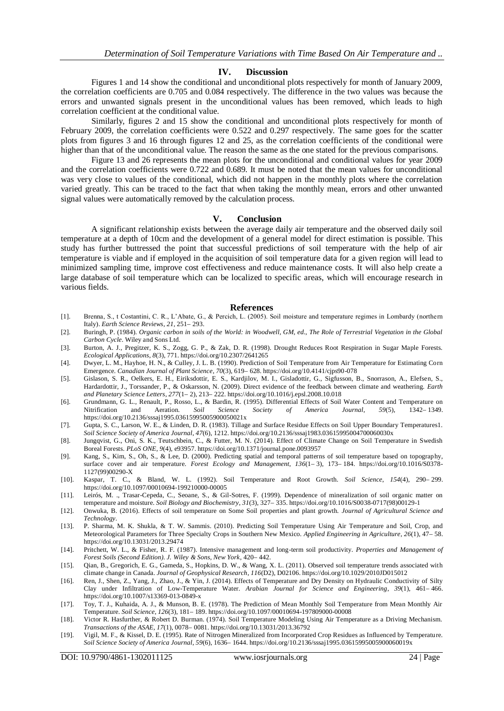#### **IV. Discussion**

Figures 1 and 14 show the conditional and unconditional plots respectively for month of January 2009, the correlation coefficients are 0.705 and 0.084 respectively. The difference in the two values was because the errors and unwanted signals present in the unconditional values has been removed, which leads to high correlation coefficient at the conditional value.

Similarly, figures 2 and 15 show the conditional and unconditional plots respectively for month of February 2009, the correlation coefficients were 0.522 and 0.297 respectively. The same goes for the scatter plots from figures 3 and 16 through figures 12 and 25, as the correlation coefficients of the conditional were higher than that of the unconditional value. The reason the same as the one stated for the previous comparisons.

Figure 13 and 26 represents the mean plots for the unconditional and conditional values for year 2009 and the correlation coefficients were 0.722 and 0.689. It must be noted that the mean values for unconditional was very close to values of the conditional, which did not happen in the monthly plots where the correlation varied greatly. This can be traced to the fact that when taking the monthly mean, errors and other unwanted signal values were automatically removed by the calculation process.

#### **V. Conclusion**

A significant relationship exists between the average daily air temperature and the observed daily soil temperature at a depth of 10cm and the development of a general model for direct estimation is possible. This study has further buttressed the point that successful predictions of soil temperature with the help of air temperature is viable and if employed in the acquisition of soil temperature data for a given region will lead to minimized sampling time, improve cost effectiveness and reduce maintenance costs. It will also help create a large database of soil temperature which can be localized to specific areas, which will encourage research in various fields.

#### **References**

- [1]. Brenna, S., t Costantini, С. R., L'Abate, G., & Percich, L. (2005). Soil moisture and temperature regimes in Lombardy (northern Italy). *Earth Science Reviews*, *21*, 251– 293.
- [2]. Buringh, P. (1984). *Organic carbon in soils of the World: in Woodwell, GM, ed., The Role of Terrestrial Vegetation in the Global Carbon Cycle*. Wiley and Sons Ltd.
- [3]. Burton, A. J., Pregitzer, K. S., Zogg, G. P., & Zak, D. R. (1998). Drought Reduces Root Respiration in Sugar Maple Forests. *Ecological Applications*, *8*(3), 771. https://doi.org/10.2307/2641265
- [4]. Dwyer, L. M., Hayhoe, H. N., & Culley, J. L. B. (1990). Prediction of Soil Temperature from Air Temperature for Estimating Corn Emergence. *Canadian Journal of Plant Science*, *70*(3), 619– 628. https://doi.org/10.4141/cjps90-078
- [5]. Gislason, S. R., Oelkers, E. H., Eiriksdottir, E. S., Kardjilov, M. I., Gisladottir, G., Sigfusson, B., Snorrason, A., Elefsen, S., Hardardottir, J., Torssander, P., & Oskarsson, N. (2009). Direct evidence of the feedback between climate and weathering. *Earth and Planetary Science Letters*, *277*(1– 2), 213– 222. https://doi.org/10.1016/j.epsl.2008.10.018
- [6]. Grundmann, G. L., Renault, P., Rosso, L., & Bardin, R. (1995). Differential Effects of Soil Water Content and Temperature on Nitrification and Aeration. Soil Science Society of America Journal, 59(5), 1342–1349. Nitrification and Aeration. *Soil Science Society of America Journal*, *59*(5), 1342– 1349. https://doi.org/10.2136/sssaj1995.03615995005900050021x
- [7]. Gupta, S. C., Larson, W. E., & Linden, D. R. (1983). Tillage and Surface Residue Effects on Soil Upper Boundary Temperatures1. *Soil Science Society of America Journal*, *47*(6), 1212. https://doi.org/10.2136/sssaj1983.03615995004700060030x
- [8]. Jungqvist, G., Oni, S. K., Teutschbein, C., & Futter, M. N. (2014). Effect of Climate Change on Soil Temperature in Swedish Boreal Forests. *PLoS ONE*, *9*(4), e93957. https://doi.org/10.1371/journal.pone.0093957
- [9]. Kang, S., Kim, S., Oh, S., & Lee, D. (2000). Predicting spatial and temporal patterns of soil temperature based on topography, surface cover and air temperature. *Forest Ecology and Management*, *136*(1– 3), 173– 184. https://doi.org/10.1016/S0378- 1127(99)00290-X
- [10]. Kaspar, T. C., & Bland, W. L. (1992). Soil Temperature and Root Growth. *Soil Science*, *154*(4), 290– 299. https://doi.org/10.1097/00010694-199210000-00005
- [11]. Leirós, M. ., Trasar-Cepeda, C., Seoane, S., & Gil-Sotres, F. (1999). Dependence of mineralization of soil organic matter on temperature and moisture. *Soil Biology and Biochemistry*, *31*(3), 327– 335. https://doi.org/10.1016/S0038-0717(98)00129-1
- [12]. Onwuka, B. (2016). Effects of soil temperature on Some Soil properties and plant growth. *Journal of Agricultural Science and Technology*.
- [13]. P. Sharma, M. K. Shukla, & T. W. Sammis. (2010). Predicting Soil Temperature Using Air Temperature and Soil, Crop, and Meteorological Parameters for Three Specialty Crops in Southern New Mexico. *Applied Engineering in Agriculture*, *26*(1), 47– 58. https://doi.org/10.13031/2013.29474
- [14]. Pritchett, W. L., & Fisher, R. F. (1987). Intensive management and long-term soil productivity. *Properties and Management of Forest Soils (Second Edition). J. Wiley & Sons, New York*, 420– 442.
- [15]. Qian, B., Gregorich, E. G., Gameda, S., Hopkins, D. W., & Wang, X. L. (2011). Observed soil temperature trends associated with climate change in Canada. *Journal of Geophysical Research*, *116*(D2), D02106. https://doi.org/10.1029/2010JD015012
- [16]. Ren, J., Shen, Z., Yang, J., Zhao, J., & Yin, J. (2014). Effects of Temperature and Dry Density on Hydraulic Conductivity of Silty Clay under Infiltration of Low-Temperature Water. *Arabian Journal for Science and Engineering*, *39*(1), 461– 466. https://doi.org/10.1007/s13369-013-0849-x
- [17]. Toy, T. J., Kuhaida, A. J., & Munson, B. E. (1978). The Prediction of Mean Monthly Soil Temperature from Mean Monthly Air Temperature. *Soil Science*, *126*(3), 181– 189. https://doi.org/10.1097/00010694-197809000-00008
- [18]. Victor R. Hasfurther, & Robert D. Burman. (1974). Soil Temperature Modeling Using Air Temperature as a Driving Mechanism. *Transactions of the ASAE*, *17*(1), 0078– 0081. https://doi.org/10.13031/2013.36792
- [19]. Vigil, M. F., & Kissel, D. E. (1995). Rate of Nitrogen Mineralized from Incorporated Crop Residues as Influenced by Temperature. *Soil Science Society of America Journal*, *59*(6), 1636– 1644. https://doi.org/10.2136/sssaj1995.03615995005900060019x